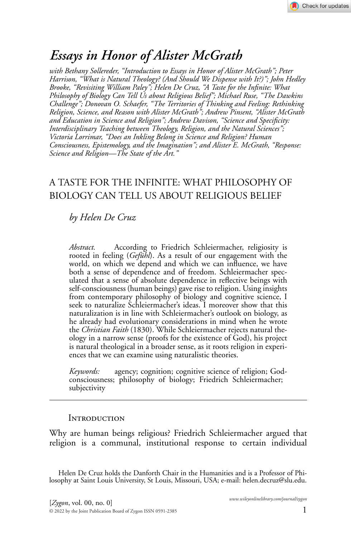

# *Essays in Honor of Alister McGrath*

*with Bethany Sollereder, "Introduction to Essays in Honor of Alister McGrath"; Peter Harrison, "What is Natural Theology? (And Should We Dispense with It?)"; John Hedley Brooke, "Revisiting William Paley"; Helen De Cruz, "A Taste for the Infinite: What Philosophy of Biology Can Tell Us about Religious Belief"; Michael Ruse, "The Dawkins Challenge"; Donovan O. Schaefer, "The Territories of Thinking and Feeling: Rethinking Religion, Science, and Reason with Alister McGrath"; Andrew Pinsent, "Alister McGrath and Education in Science and Religion"; Andrew Davison, "Science and Specificity: Interdisciplinary Teaching between Theology, Religion, and the Natural Sciences"; Victoria Lorrimar, "Does an Inkling Belong in Science and Religion? Human Consciousness, Epistemology, and the Imagination"; and Alister E. McGrath, "Response: Science and Religion—The State of the Art."*

# A TASTE FOR THE INFINITE: WHAT PHILOSOPHY OF BIOLOGY CAN TELL US ABOUT RELIGIOUS BELIEF

# *by Helen De Cruz*

*Abstract.* According to Friedrich Schleiermacher, religiosity is rooted in feeling (*Gefühl*). As a result of our engagement with the world, on which we depend and which we can influence, we have both a sense of dependence and of freedom. Schleiermacher speculated that a sense of absolute dependence in reflective beings with self-consciousness (human beings) gave rise to religion. Using insights from contemporary philosophy of biology and cognitive science, I seek to naturalize Schleiermacher's ideas. I moreover show that this naturalization is in line with Schleiermacher's outlook on biology, as he already had evolutionary considerations in mind when he wrote the *Christian Faith* (1830). While Schleiermacher rejects natural theology in a narrow sense (proofs for the existence of God), his project is natural theological in a broader sense, as it roots religion in experiences that we can examine using naturalistic theories.

*Keywords:* agency; cognition; cognitive science of religion; Godconsciousness; philosophy of biology; Friedrich Schleiermacher; subjectivity

### **INTRODUCTION**

Why are human beings religious? Friedrich Schleiermacher argued that religion is a communal, institutional response to certain individual

Helen De Cruz holds the Danforth Chair in the Humanities and is a Professor of Philosophy at Saint Louis University, St Louis, Missouri, USA; e-mail: helen.decruz@slu.edu.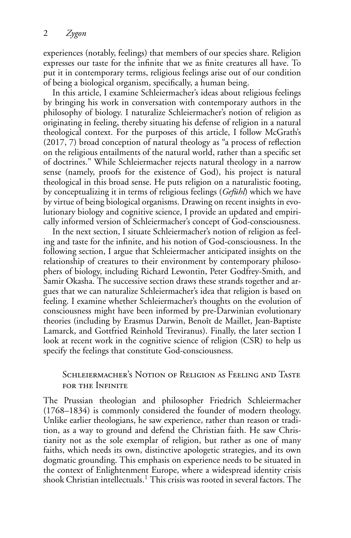experiences (notably, feelings) that members of our species share. Religion expresses our taste for the infinite that we as finite creatures all have. To put it in contemporary terms, religious feelings arise out of our condition of being a biological organism, specifically, a human being.

In this article, I examine Schleiermacher's ideas about religious feelings by bringing his work in conversation with contemporary authors in the philosophy of biology. I naturalize Schleiermacher's notion of religion as originating in feeling, thereby situating his defense of religion in a natural theological context. For the purposes of this article, I follow McGrath's (2017, 7) broad conception of natural theology as "a process of reflection on the religious entailments of the natural world, rather than a specific set of doctrines." While Schleiermacher rejects natural theology in a narrow sense (namely, proofs for the existence of God), his project is natural theological in this broad sense. He puts religion on a naturalistic footing, by conceptualizing it in terms of religious feelings (*Gefühl*) which we have by virtue of being biological organisms. Drawing on recent insights in evolutionary biology and cognitive science, I provide an updated and empirically informed version of Schleiermacher's concept of God-consciousness.

In the next section, I situate Schleiermacher's notion of religion as feeling and taste for the infinite, and his notion of God-consciousness. In the following section, I argue that Schleiermacher anticipated insights on the relationship of creatures to their environment by contemporary philosophers of biology, including Richard Lewontin, Peter Godfrey-Smith, and Samir Okasha. The successive section draws these strands together and argues that we can naturalize Schleiermacher's idea that religion is based on feeling. I examine whether Schleiermacher's thoughts on the evolution of consciousness might have been informed by pre-Darwinian evolutionary theories (including by Erasmus Darwin, Benoît de Maillet, Jean-Baptiste Lamarck, and Gottfried Reinhold Treviranus). Finally, the later section I look at recent work in the cognitive science of religion (CSR) to help us specify the feelings that constitute God-consciousness.

# Schleiermacher's Notion of Religion as Feeling and Taste for the Infinite

The Prussian theologian and philosopher Friedrich Schleiermacher (1768–1834) is commonly considered the founder of modern theology. Unlike earlier theologians, he saw experience, rather than reason or tradition, as a way to ground and defend the Christian faith. He saw Christianity not as the sole exemplar of religion, but rather as one of many faiths, which needs its own, distinctive apologetic strategies, and its own dogmatic grounding. This emphasis on experience needs to be situated in the context of Enlightenment Europe, where a widespread identity crisis shook Christian intellectuals.<sup>1</sup> This crisis was rooted in several factors. The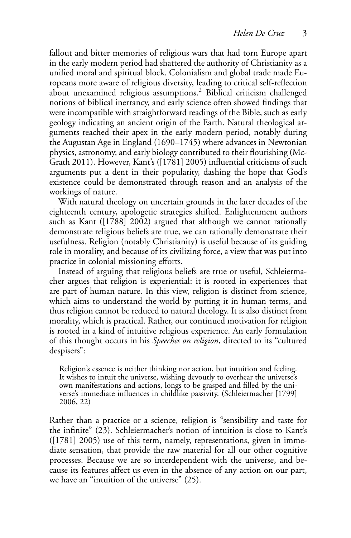fallout and bitter memories of religious wars that had torn Europe apart in the early modern period had shattered the authority of Christianity as a unified moral and spiritual block. Colonialism and global trade made Europeans more aware of religious diversity, leading to critical self-reflection about unexamined religious assumptions.<sup>2</sup> Biblical criticism challenged notions of biblical inerrancy, and early science often showed findings that were incompatible with straightforward readings of the Bible, such as early geology indicating an ancient origin of the Earth. Natural theological arguments reached their apex in the early modern period, notably during the Augustan Age in England (1690–1745) where advances in Newtonian physics, astronomy, and early biology contributed to their flourishing (Mc-Grath 2011). However, Kant's ([1781] 2005) influential criticisms of such arguments put a dent in their popularity, dashing the hope that God's existence could be demonstrated through reason and an analysis of the workings of nature.

With natural theology on uncertain grounds in the later decades of the eighteenth century, apologetic strategies shifted. Enlightenment authors such as Kant ([1788] 2002) argued that although we cannot rationally demonstrate religious beliefs are true, we can rationally demonstrate their usefulness. Religion (notably Christianity) is useful because of its guiding role in morality, and because of its civilizing force, a view that was put into practice in colonial missioning efforts.

Instead of arguing that religious beliefs are true or useful, Schleiermacher argues that religion is experiential: it is rooted in experiences that are part of human nature. In this view, religion is distinct from science, which aims to understand the world by putting it in human terms, and thus religion cannot be reduced to natural theology. It is also distinct from morality, which is practical. Rather, our continued motivation for religion is rooted in a kind of intuitive religious experience. An early formulation of this thought occurs in his *Speeches on religion*, directed to its "cultured despisers":

Religion's essence is neither thinking nor action, but intuition and feeling. It wishes to intuit the universe, wishing devoutly to overhear the universe's own manifestations and actions, longs to be grasped and filled by the universe's immediate influences in childlike passivity. (Schleiermacher [1799] 2006, 22)

Rather than a practice or a science, religion is "sensibility and taste for the infinite" (23). Schleiermacher's notion of intuition is close to Kant's ([1781] 2005) use of this term, namely, representations, given in immediate sensation, that provide the raw material for all our other cognitive processes. Because we are so interdependent with the universe, and because its features affect us even in the absence of any action on our part, we have an "intuition of the universe" (25).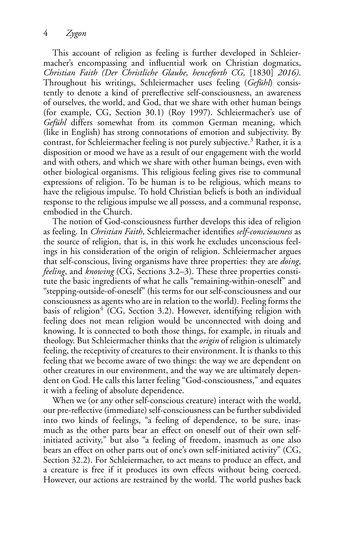This account of religion as feeling is further developed in Schleiermacher's encompassing and influential work on Christian dogmatics, *Christian Faith (Der Christliche Glaube, henceforth CG,* [1830] *2016)*. Throughout his writings, Schleiermacher uses feeling (*Gefühl*) consistently to denote a kind of prereflective self-consciousness, an awareness of ourselves, the world, and God, that we share with other human beings (for example, CG, Section 30.1) (Roy 1997). Schleiermacher's use of *Gefühl* differs somewhat from its common German meaning, which (like in English) has strong connotations of emotion and subjectivity. By contrast, for Schleiermacher feeling is not purely subjective.<sup>3</sup> Rather, it is a disposition or mood we have as a result of our engagement with the world and with others, and which we share with other human beings, even with other biological organisms. This religious feeling gives rise to communal expressions of religion. To be human is to be religious, which means to have the religious impulse. To hold Christian beliefs is both an individual response to the religious impulse we all possess, and a communal response, embodied in the Church.

The notion of God-consciousness further develops this idea of religion as feeling. In *Christian Faith*, Schleiermacher identifies *self-consciousness* as the source of religion, that is, in this work he excludes unconscious feelings in his consideration of the origin of religion. Schleiermacher argues that self-conscious, living organisms have three properties: they are *doing*, *feeling*, and *knowing* (CG, Sections 3.2–3). These three properties constitute the basic ingredients of what he calls "remaining-within-oneself" and "stepping-outside-of-oneself" (his terms for our self-consciousness and our consciousness as agents who are in relation to the world). Feeling forms the basis of religion<sup>4</sup> (CG, Section 3.2). However, identifying religion with feeling does not mean religion would be unconnected with doing and knowing. It is connected to both those things, for example, in rituals and theology. But Schleiermacher thinks that the *origin* of religion is ultimately feeling, the receptivity of creatures to their environment. It is thanks to this feeling that we become aware of two things: the way we are dependent on other creatures in our environment, and the way we are ultimately dependent on God. He calls this latter feeling "God-consciousness," and equates it with a feeling of absolute dependence.

When we (or any other self-conscious creature) interact with the world, our pre-reflective (immediate) self-consciousness can be further subdivided into two kinds of feelings, "a feeling of dependence, to be sure, inasmuch as the other parts bear an effect on oneself out of their own selfinitiated activity," but also "a feeling of freedom, inasmuch as one also bears an effect on other parts out of one's own self-initiated activity" (CG, Section 32.2). For Schleiermacher, to act means to produce an effect, and a creature is free if it produces its own effects without being coerced. However, our actions are restrained by the world. The world pushes back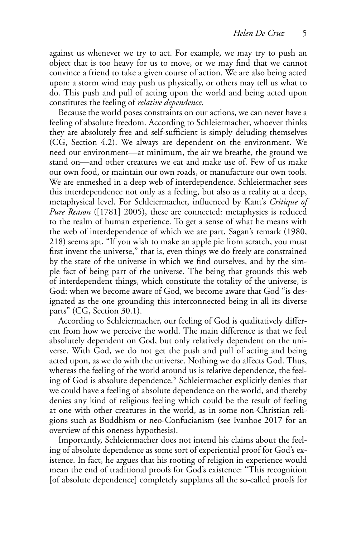against us whenever we try to act. For example, we may try to push an object that is too heavy for us to move, or we may find that we cannot convince a friend to take a given course of action. We are also being acted upon: a storm wind may push us physically, or others may tell us what to do. This push and pull of acting upon the world and being acted upon constitutes the feeling of *relative dependence*.

Because the world poses constraints on our actions, we can never have a feeling of absolute freedom. According to Schleiermacher, whoever thinks they are absolutely free and self-sufficient is simply deluding themselves (CG, Section 4.2). We always are dependent on the environment. We need our environment—at minimum, the air we breathe, the ground we stand on—and other creatures we eat and make use of. Few of us make our own food, or maintain our own roads, or manufacture our own tools. We are enmeshed in a deep web of interdependence. Schleiermacher sees this interdependence not only as a feeling, but also as a reality at a deep, metaphysical level. For Schleiermacher, influenced by Kant's *Critique of Pure Reason* ([1781] 2005), these are connected: metaphysics is reduced to the realm of human experience. To get a sense of what he means with the web of interdependence of which we are part, Sagan's remark (1980, 218) seems apt, "If you wish to make an apple pie from scratch, you must first invent the universe," that is, even things we do freely are constrained by the state of the universe in which we find ourselves, and by the simple fact of being part of the universe. The being that grounds this web of interdependent things, which constitute the totality of the universe, is God: when we become aware of God, we become aware that God "is designated as the one grounding this interconnected being in all its diverse parts" (CG, Section 30.1).

According to Schleiermacher, our feeling of God is qualitatively different from how we perceive the world. The main difference is that we feel absolutely dependent on God, but only relatively dependent on the universe. With God, we do not get the push and pull of acting and being acted upon, as we do with the universe. Nothing we do affects God. Thus, whereas the feeling of the world around us is relative dependence, the feeling of God is absolute dependence.<sup>5</sup> Schleiermacher explicitly denies that we could have a feeling of absolute dependence on the world, and thereby denies any kind of religious feeling which could be the result of feeling at one with other creatures in the world, as in some non-Christian religions such as Buddhism or neo-Confucianism (see Ivanhoe 2017 for an overview of this oneness hypothesis).

Importantly, Schleiermacher does not intend his claims about the feeling of absolute dependence as some sort of experiential proof for God's existence. In fact, he argues that his rooting of religion in experience would mean the end of traditional proofs for God's existence: "This recognition [of absolute dependence] completely supplants all the so-called proofs for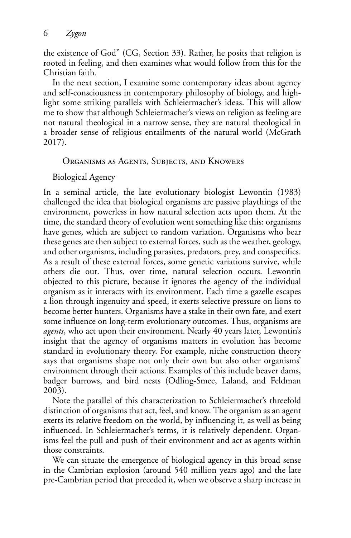the existence of God" (CG, Section 33). Rather, he posits that religion is rooted in feeling, and then examines what would follow from this for the Christian faith.

In the next section, I examine some contemporary ideas about agency and self-consciousness in contemporary philosophy of biology, and highlight some striking parallels with Schleiermacher's ideas. This will allow me to show that although Schleiermacher's views on religion as feeling are not natural theological in a narrow sense, they are natural theological in a broader sense of religious entailments of the natural world (McGrath 2017).

Organisms as Agents, Subjects, and Knowers

Biological Agency

In a seminal article, the late evolutionary biologist Lewontin (1983) challenged the idea that biological organisms are passive playthings of the environment, powerless in how natural selection acts upon them. At the time, the standard theory of evolution went something like this: organisms have genes, which are subject to random variation. Organisms who bear these genes are then subject to external forces, such as the weather, geology, and other organisms, including parasites, predators, prey, and conspecifics. As a result of these external forces, some genetic variations survive, while others die out. Thus, over time, natural selection occurs. Lewontin objected to this picture, because it ignores the agency of the individual organism as it interacts with its environment. Each time a gazelle escapes a lion through ingenuity and speed, it exerts selective pressure on lions to become better hunters. Organisms have a stake in their own fate, and exert some influence on long-term evolutionary outcomes. Thus, organisms are *agents*, who act upon their environment. Nearly 40 years later, Lewontin's insight that the agency of organisms matters in evolution has become standard in evolutionary theory. For example, niche construction theory says that organisms shape not only their own but also other organisms' environment through their actions. Examples of this include beaver dams, badger burrows, and bird nests (Odling-Smee, Laland, and Feldman 2003).

Note the parallel of this characterization to Schleiermacher's threefold distinction of organisms that act, feel, and know. The organism as an agent exerts its relative freedom on the world, by influencing it, as well as being influenced. In Schleiermacher's terms, it is relatively dependent. Organisms feel the pull and push of their environment and act as agents within those constraints.

We can situate the emergence of biological agency in this broad sense in the Cambrian explosion (around 540 million years ago) and the late pre-Cambrian period that preceded it, when we observe a sharp increase in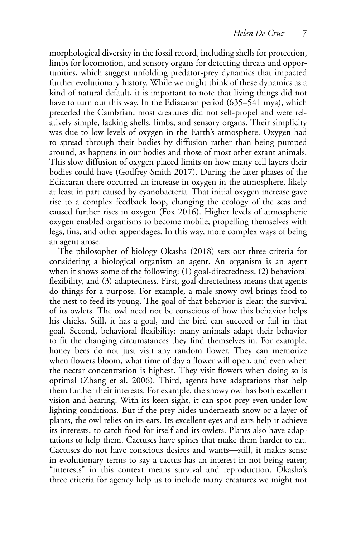morphological diversity in the fossil record, including shells for protection, limbs for locomotion, and sensory organs for detecting threats and opportunities, which suggest unfolding predator-prey dynamics that impacted further evolutionary history. While we might think of these dynamics as a kind of natural default, it is important to note that living things did not have to turn out this way. In the Ediacaran period (635–541 mya), which preceded the Cambrian, most creatures did not self-propel and were relatively simple, lacking shells, limbs, and sensory organs. Their simplicity was due to low levels of oxygen in the Earth's atmosphere. Oxygen had to spread through their bodies by diffusion rather than being pumped around, as happens in our bodies and those of most other extant animals. This slow diffusion of oxygen placed limits on how many cell layers their bodies could have (Godfrey-Smith 2017). During the later phases of the Ediacaran there occurred an increase in oxygen in the atmosphere, likely at least in part caused by cyanobacteria. That initial oxygen increase gave rise to a complex feedback loop, changing the ecology of the seas and caused further rises in oxygen (Fox 2016). Higher levels of atmospheric oxygen enabled organisms to become mobile, propelling themselves with legs, fins, and other appendages. In this way, more complex ways of being an agent arose.

The philosopher of biology Okasha (2018) sets out three criteria for considering a biological organism an agent. An organism is an agent when it shows some of the following: (1) goal-directedness, (2) behavioral flexibility, and (3) adaptedness. First, goal-directedness means that agents do things for a purpose. For example, a male snowy owl brings food to the nest to feed its young. The goal of that behavior is clear: the survival of its owlets. The owl need not be conscious of how this behavior helps his chicks. Still, it has a goal, and the bird can succeed or fail in that goal. Second, behavioral flexibility: many animals adapt their behavior to fit the changing circumstances they find themselves in. For example, honey bees do not just visit any random flower. They can memorize when flowers bloom, what time of day a flower will open, and even when the nectar concentration is highest. They visit flowers when doing so is optimal (Zhang et al. 2006). Third, agents have adaptations that help them further their interests. For example, the snowy owl has both excellent vision and hearing. With its keen sight, it can spot prey even under low lighting conditions. But if the prey hides underneath snow or a layer of plants, the owl relies on its ears. Its excellent eyes and ears help it achieve its interests, to catch food for itself and its owlets. Plants also have adaptations to help them. Cactuses have spines that make them harder to eat. Cactuses do not have conscious desires and wants—still, it makes sense in evolutionary terms to say a cactus has an interest in not being eaten; "interests" in this context means survival and reproduction. Okasha's three criteria for agency help us to include many creatures we might not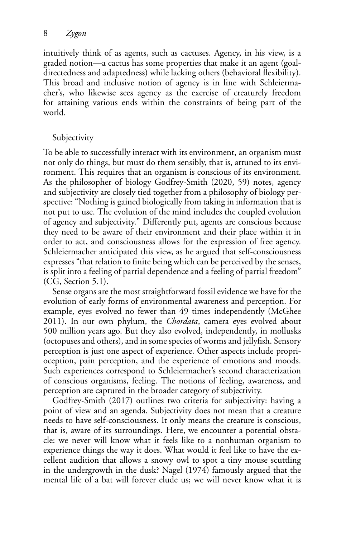intuitively think of as agents, such as cactuses. Agency, in his view, is a graded notion—a cactus has some properties that make it an agent (goaldirectedness and adaptedness) while lacking others (behavioral flexibility). This broad and inclusive notion of agency is in line with Schleiermacher's, who likewise sees agency as the exercise of creaturely freedom for attaining various ends within the constraints of being part of the world.

# Subjectivity

To be able to successfully interact with its environment, an organism must not only do things, but must do them sensibly, that is, attuned to its environment. This requires that an organism is conscious of its environment. As the philosopher of biology Godfrey-Smith (2020, 59) notes, agency and subjectivity are closely tied together from a philosophy of biology perspective: "Nothing is gained biologically from taking in information that is not put to use. The evolution of the mind includes the coupled evolution of agency and subjectivity." Differently put, agents are conscious because they need to be aware of their environment and their place within it in order to act, and consciousness allows for the expression of free agency. Schleiermacher anticipated this view, as he argued that self-consciousness expresses "that relation to finite being which can be perceived by the senses, is split into a feeling of partial dependence and a feeling of partial freedom" (CG, Section 5.1).

Sense organs are the most straightforward fossil evidence we have for the evolution of early forms of environmental awareness and perception. For example, eyes evolved no fewer than 49 times independently (McGhee 2011). In our own phylum, the *Chordata*, camera eyes evolved about 500 million years ago. But they also evolved, independently, in mollusks (octopuses and others), and in some species of worms and jellyfish. Sensory perception is just one aspect of experience. Other aspects include proprioception, pain perception, and the experience of emotions and moods. Such experiences correspond to Schleiermacher's second characterization of conscious organisms, feeling. The notions of feeling, awareness, and perception are captured in the broader category of subjectivity.

Godfrey-Smith (2017) outlines two criteria for subjectivity: having a point of view and an agenda. Subjectivity does not mean that a creature needs to have self-consciousness. It only means the creature is conscious, that is, aware of its surroundings. Here, we encounter a potential obstacle: we never will know what it feels like to a nonhuman organism to experience things the way it does. What would it feel like to have the excellent audition that allows a snowy owl to spot a tiny mouse scuttling in the undergrowth in the dusk? Nagel (1974) famously argued that the mental life of a bat will forever elude us; we will never know what it is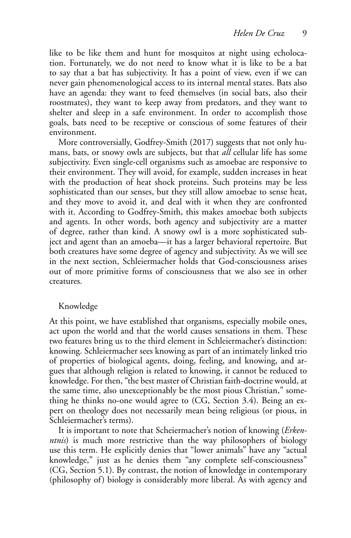like to be like them and hunt for mosquitos at night using echolocation. Fortunately, we do not need to know what it is like to be a bat to say that a bat has subjectivity. It has a point of view, even if we can never gain phenomenological access to its internal mental states. Bats also have an agenda: they want to feed themselves (in social bats, also their roostmates), they want to keep away from predators, and they want to shelter and sleep in a safe environment. In order to accomplish those goals, bats need to be receptive or conscious of some features of their environment.

More controversially, Godfrey-Smith (2017) suggests that not only humans, bats, or snowy owls are subjects, but that *all* cellular life has some subjectivity. Even single-cell organisms such as amoebae are responsive to their environment. They will avoid, for example, sudden increases in heat with the production of heat shock proteins. Such proteins may be less sophisticated than our senses, but they still allow amoebae to sense heat, and they move to avoid it, and deal with it when they are confronted with it. According to Godfrey-Smith, this makes amoebae both subjects and agents. In other words, both agency and subjectivity are a matter of degree, rather than kind. A snowy owl is a more sophisticated subject and agent than an amoeba—it has a larger behavioral repertoire. But both creatures have some degree of agency and subjectivity. As we will see in the next section, Schleiermacher holds that God-consciousness arises out of more primitive forms of consciousness that we also see in other creatures.

## Knowledge

At this point, we have established that organisms, especially mobile ones, act upon the world and that the world causes sensations in them. These two features bring us to the third element in Schleiermacher's distinction: knowing. Schleiermacher sees knowing as part of an intimately linked trio of properties of biological agents, doing, feeling, and knowing, and argues that although religion is related to knowing, it cannot be reduced to knowledge. For then, "the best master of Christian faith-doctrine would, at the same time, also unexceptionably be the most pious Christian," something he thinks no-one would agree to (CG, Section 3.4). Being an expert on theology does not necessarily mean being religious (or pious, in Schleiermacher's terms).

It is important to note that Scheiermacher's notion of knowing (*Erkenntnis*) is much more restrictive than the way philosophers of biology use this term. He explicitly denies that "lower animals" have any "actual knowledge," just as he denies them "any complete self-consciousness" (CG, Section 5.1). By contrast, the notion of knowledge in contemporary (philosophy of ) biology is considerably more liberal. As with agency and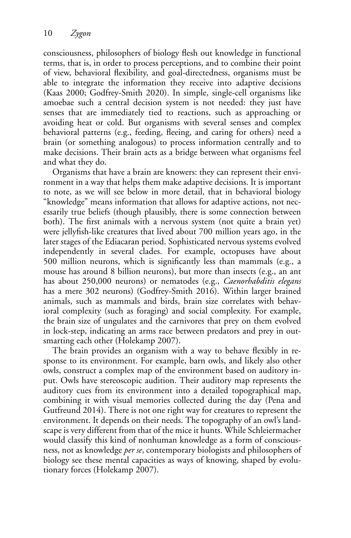consciousness, philosophers of biology flesh out knowledge in functional terms, that is, in order to process perceptions, and to combine their point of view, behavioral flexibility, and goal-directedness, organisms must be able to integrate the information they receive into adaptive decisions (Kaas 2000; Godfrey-Smith 2020). In simple, single-cell organisms like amoebae such a central decision system is not needed: they just have senses that are immediately tied to reactions, such as approaching or avoiding heat or cold. But organisms with several senses and complex behavioral patterns (e.g., feeding, fleeing, and caring for others) need a brain (or something analogous) to process information centrally and to make decisions. Their brain acts as a bridge between what organisms feel and what they do.

Organisms that have a brain are knowers: they can represent their environment in a way that helps them make adaptive decisions. It is important to note, as we will see below in more detail, that in behavioral biology "knowledge" means information that allows for adaptive actions, not necessarily true beliefs (though plausibly, there is some connection between both). The first animals with a nervous system (not quite a brain yet) were jellyfish-like creatures that lived about 700 million years ago, in the later stages of the Ediacaran period. Sophisticated nervous systems evolved independently in several clades. For example, octopuses have about 500 million neurons, which is significantly less than mammals (e.g., a mouse has around 8 billion neurons), but more than insects (e.g., an ant has about 250,000 neurons) or nematodes (e.g., *Caenorhabditis elegans* has a mere 302 neurons) (Godfrey-Smith 2016). Within larger brained animals, such as mammals and birds, brain size correlates with behavioral complexity (such as foraging) and social complexity. For example, the brain size of ungulates and the carnivores that prey on them evolved in lock-step, indicating an arms race between predators and prey in outsmarting each other (Holekamp 2007).

The brain provides an organism with a way to behave flexibly in response to its environment. For example, barn owls, and likely also other owls, construct a complex map of the environment based on auditory input. Owls have stereoscopic audition. Their auditory map represents the auditory cues from its environment into a detailed topographical map, combining it with visual memories collected during the day (Pena and Gutfreund 2014). There is not one right way for creatures to represent the environment. It depends on their needs. The topography of an owl's landscape is very different from that of the mice it hunts. While Schleiermacher would classify this kind of nonhuman knowledge as a form of consciousness, not as knowledge *per se*, contemporary biologists and philosophers of biology see these mental capacities as ways of knowing, shaped by evolutionary forces (Holekamp 2007).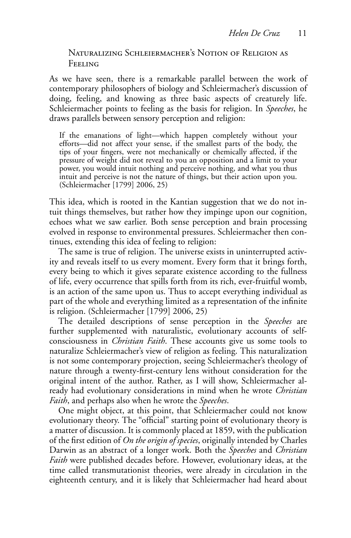Naturalizing Schleiermacher's Notion of Religion as Feeling

As we have seen, there is a remarkable parallel between the work of contemporary philosophers of biology and Schleiermacher's discussion of doing, feeling, and knowing as three basic aspects of creaturely life. Schleiermacher points to feeling as the basis for religion. In *Speeches*, he draws parallels between sensory perception and religion:

If the emanations of light—which happen completely without your efforts—did not affect your sense, if the smallest parts of the body, the tips of your fingers, were not mechanically or chemically affected, if the pressure of weight did not reveal to you an opposition and a limit to your power, you would intuit nothing and perceive nothing, and what you thus intuit and perceive is not the nature of things, but their action upon you. (Schleiermacher [1799] 2006, 25)

This idea, which is rooted in the Kantian suggestion that we do not intuit things themselves, but rather how they impinge upon our cognition, echoes what we saw earlier. Both sense perception and brain processing evolved in response to environmental pressures. Schleiermacher then continues, extending this idea of feeling to religion:

The same is true of religion. The universe exists in uninterrupted activity and reveals itself to us every moment. Every form that it brings forth, every being to which it gives separate existence according to the fullness of life, every occurrence that spills forth from its rich, ever-fruitful womb, is an action of the same upon us. Thus to accept everything individual as part of the whole and everything limited as a representation of the infinite is religion. (Schleiermacher [1799] 2006, 25)

The detailed descriptions of sense perception in the *Speeches* are further supplemented with naturalistic, evolutionary accounts of selfconsciousness in *Christian Faith*. These accounts give us some tools to naturalize Schleiermacher's view of religion as feeling. This naturalization is not some contemporary projection, seeing Schleiermacher's theology of nature through a twenty-first-century lens without consideration for the original intent of the author. Rather, as I will show, Schleiermacher already had evolutionary considerations in mind when he wrote *Christian Faith*, and perhaps also when he wrote the *Speeches*.

One might object, at this point, that Schleiermacher could not know evolutionary theory. The "official" starting point of evolutionary theory is a matter of discussion. It is commonly placed at 1859, with the publication of the first edition of *On the origin of species*, originally intended by Charles Darwin as an abstract of a longer work. Both the *Speeches* and *Christian Faith* were published decades before. However, evolutionary ideas, at the time called transmutationist theories, were already in circulation in the eighteenth century, and it is likely that Schleiermacher had heard about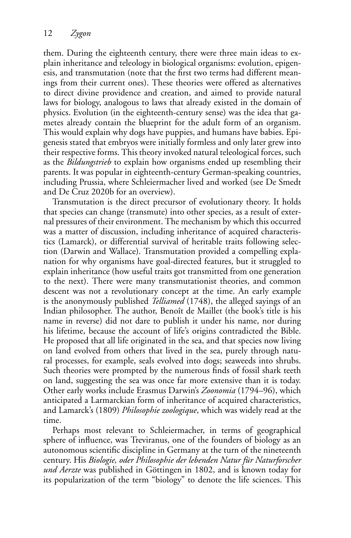them. During the eighteenth century, there were three main ideas to explain inheritance and teleology in biological organisms: evolution, epigenesis, and transmutation (note that the first two terms had different meanings from their current ones). These theories were offered as alternatives to direct divine providence and creation, and aimed to provide natural laws for biology, analogous to laws that already existed in the domain of physics. Evolution (in the eighteenth-century sense) was the idea that gametes already contain the blueprint for the adult form of an organism. This would explain why dogs have puppies, and humans have babies. Epigenesis stated that embryos were initially formless and only later grew into their respective forms. This theory invoked natural teleological forces, such as the *Bildungstrieb* to explain how organisms ended up resembling their parents. It was popular in eighteenth-century German-speaking countries, including Prussia, where Schleiermacher lived and worked (see De Smedt and De Cruz 2020b for an overview).

Transmutation is the direct precursor of evolutionary theory. It holds that species can change (transmute) into other species, as a result of external pressures of their environment. The mechanism by which this occurred was a matter of discussion, including inheritance of acquired characteristics (Lamarck), or differential survival of heritable traits following selection (Darwin and Wallace). Transmutation provided a compelling explanation for why organisms have goal-directed features, but it struggled to explain inheritance (how useful traits got transmitted from one generation to the next). There were many transmutationist theories, and common descent was not a revolutionary concept at the time. An early example is the anonymously published *Telliamed* (1748), the alleged sayings of an Indian philosopher. The author, Benoît de Maillet (the book's title is his name in reverse) did not dare to publish it under his name, nor during his lifetime, because the account of life's origins contradicted the Bible. He proposed that all life originated in the sea, and that species now living on land evolved from others that lived in the sea, purely through natural processes, for example, seals evolved into dogs; seaweeds into shrubs. Such theories were prompted by the numerous finds of fossil shark teeth on land, suggesting the sea was once far more extensive than it is today. Other early works include Erasmus Darwin's *Zoonomia* (1794–96), which anticipated a Larmarckian form of inheritance of acquired characteristics, and Lamarck's (1809) *Philosophie zoologique*, which was widely read at the time.

Perhaps most relevant to Schleiermacher, in terms of geographical sphere of influence, was Treviranus, one of the founders of biology as an autonomous scientific discipline in Germany at the turn of the nineteenth century. His *Biologie, oder Philosophie der lebenden Natur für Naturforscher und Aerzte* was published in Göttingen in 1802, and is known today for its popularization of the term "biology" to denote the life sciences. This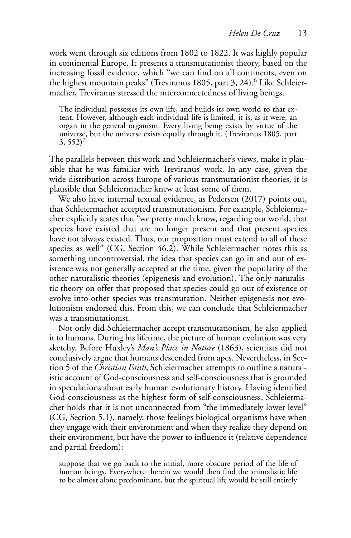work went through six editions from 1802 to 1822. It was highly popular in continental Europe. It presents a transmutationist theory, based on the increasing fossil evidence, which "we can find on all continents, even on the highest mountain peaks" (Treviranus 1805, part 3, 24).<sup>6</sup> Like Schleiermacher, Treviranus stressed the interconnectedness of living beings.

The individual possesses its own life, and builds its own world to that extent. However, although each individual life is limited, it is, as it were, an organ in the general organism. Every living being exists by virtue of the universe, but the universe exists equally through it. (Treviranus 1805, part  $3, 552$ <sup>7</sup>

The parallels between this work and Schleiermacher's views, make it plausible that he was familiar with Treviranus' work. In any case, given the wide distribution across Europe of various transmutationist theories, it is plausible that Schleiermacher knew at least some of them.

We also have internal textual evidence, as Pedersen (2017) points out, that Schleiermacher accepted transmutationism. For example, Schleiermacher explicitly states that "we pretty much know, regarding our world, that species have existed that are no longer present and that present species have not always existed. Thus, our proposition must extend to all of these species as well" (CG, Section 46.2). While Schleiermacher notes this as something uncontroversial, the idea that species can go in and out of existence was not generally accepted at the time, given the popularity of the other naturalistic theories (epigenesis and evolution). The only naturalistic theory on offer that proposed that species could go out of existence or evolve into other species was transmutation. Neither epigenesis nor evolutionism endorsed this. From this, we can conclude that Schleiermacher was a transmutationist.

Not only did Schleiermacher accept transmutationism, he also applied it to humans. During his lifetime, the picture of human evolution was very sketchy. Before Huxley's *Man's Place in Nature* (1863), scientists did not conclusively argue that humans descended from apes. Nevertheless, in Section 5 of the *Christian Faith*, Schleiermacher attempts to outline a naturalistic account of God-consciousness and self-consciousness that is grounded in speculations about early human evolutionary history. Having identified God-consciousness as the highest form of self-consciousness, Schleiermacher holds that it is not unconnected from "the immediately lower level" (CG, Section 5.1), namely, those feelings biological organisms have when they engage with their environment and when they realize they depend on their environment, but have the power to influence it (relative dependence and partial freedom):

suppose that we go back to the initial, more obscure period of the life of human beings. Everywhere therein we would then find the animalistic life to be almost alone predominant, but the spiritual life would be still entirely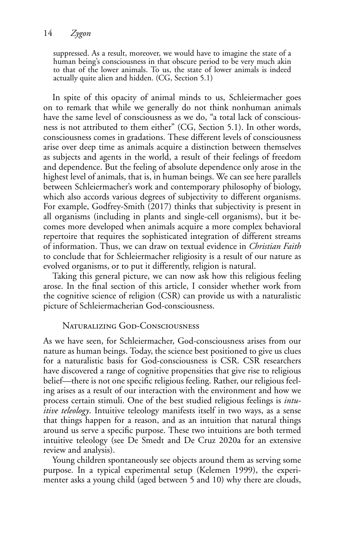suppressed. As a result, moreover, we would have to imagine the state of a human being's consciousness in that obscure period to be very much akin to that of the lower animals. To us, the state of lower animals is indeed actually quite alien and hidden. (CG, Section 5.1)

In spite of this opacity of animal minds to us, Schleiermacher goes on to remark that while we generally do not think nonhuman animals have the same level of consciousness as we do, "a total lack of consciousness is not attributed to them either" (CG, Section 5.1). In other words, consciousness comes in gradations. These different levels of consciousness arise over deep time as animals acquire a distinction between themselves as subjects and agents in the world, a result of their feelings of freedom and dependence. But the feeling of absolute dependence only arose in the highest level of animals, that is, in human beings. We can see here parallels between Schleiermacher's work and contemporary philosophy of biology, which also accords various degrees of subjectivity to different organisms. For example, Godfrey-Smith (2017) thinks that subjectivity is present in all organisms (including in plants and single-cell organisms), but it becomes more developed when animals acquire a more complex behavioral repertoire that requires the sophisticated integration of different streams of information. Thus, we can draw on textual evidence in *Christian Faith* to conclude that for Schleiermacher religiosity is a result of our nature as evolved organisms, or to put it differently, religion is natural.

Taking this general picture, we can now ask how this religious feeling arose. In the final section of this article, I consider whether work from the cognitive science of religion (CSR) can provide us with a naturalistic picture of Schleiermacherian God-consciousness.

## Naturalizing God-Consciousness

As we have seen, for Schleiermacher, God-consciousness arises from our nature as human beings. Today, the science best positioned to give us clues for a naturalistic basis for God-consciousness is CSR. CSR researchers have discovered a range of cognitive propensities that give rise to religious belief—there is not one specific religious feeling. Rather, our religious feeling arises as a result of our interaction with the environment and how we process certain stimuli. One of the best studied religious feelings is *intuitive teleology*. Intuitive teleology manifests itself in two ways, as a sense that things happen for a reason, and as an intuition that natural things around us serve a specific purpose. These two intuitions are both termed intuitive teleology (see De Smedt and De Cruz 2020a for an extensive review and analysis).

Young children spontaneously see objects around them as serving some purpose. In a typical experimental setup (Kelemen 1999), the experimenter asks a young child (aged between 5 and 10) why there are clouds,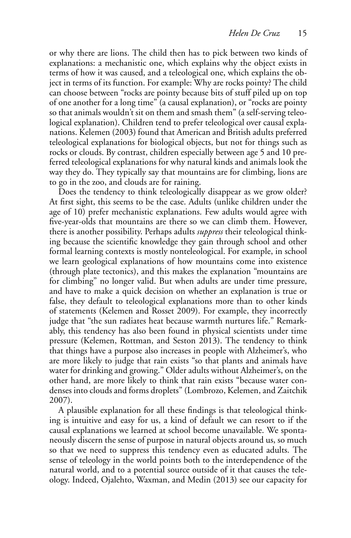or why there are lions. The child then has to pick between two kinds of explanations: a mechanistic one, which explains why the object exists in terms of how it was caused, and a teleological one, which explains the object in terms of its function. For example: Why are rocks pointy? The child can choose between "rocks are pointy because bits of stuff piled up on top of one another for a long time" (a causal explanation), or "rocks are pointy so that animals wouldn't sit on them and smash them" (a self-serving teleological explanation). Children tend to prefer teleological over causal explanations. Kelemen (2003) found that American and British adults preferred teleological explanations for biological objects, but not for things such as rocks or clouds. By contrast, children especially between age 5 and 10 preferred teleological explanations for why natural kinds and animals look the way they do. They typically say that mountains are for climbing, lions are to go in the zoo, and clouds are for raining.

Does the tendency to think teleologically disappear as we grow older? At first sight, this seems to be the case. Adults (unlike children under the age of 10) prefer mechanistic explanations. Few adults would agree with five-year-olds that mountains are there so we can climb them. However, there is another possibility. Perhaps adults *suppress* their teleological thinking because the scientific knowledge they gain through school and other formal learning contexts is mostly nonteleological. For example, in school we learn geological explanations of how mountains come into existence (through plate tectonics), and this makes the explanation "mountains are for climbing" no longer valid. But when adults are under time pressure, and have to make a quick decision on whether an explanation is true or false, they default to teleological explanations more than to other kinds of statements (Kelemen and Rosset 2009). For example, they incorrectly judge that "the sun radiates heat because warmth nurtures life." Remarkably, this tendency has also been found in physical scientists under time pressure (Kelemen, Rottman, and Seston 2013). The tendency to think that things have a purpose also increases in people with Alzheimer's, who are more likely to judge that rain exists "so that plants and animals have water for drinking and growing." Older adults without Alzheimer's, on the other hand, are more likely to think that rain exists "because water condenses into clouds and forms droplets" (Lombrozo, Kelemen, and Zaitchik 2007).

A plausible explanation for all these findings is that teleological thinking is intuitive and easy for us, a kind of default we can resort to if the causal explanations we learned at school become unavailable. We spontaneously discern the sense of purpose in natural objects around us, so much so that we need to suppress this tendency even as educated adults. The sense of teleology in the world points both to the interdependence of the natural world, and to a potential source outside of it that causes the teleology. Indeed, Ojalehto, Waxman, and Medin (2013) see our capacity for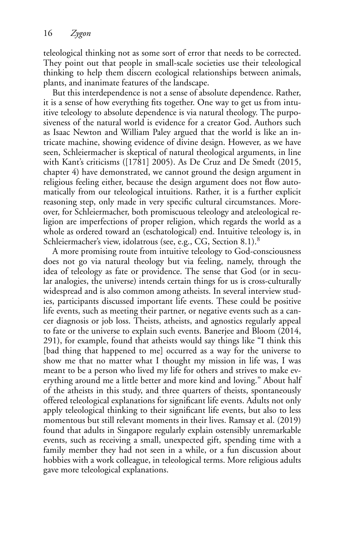teleological thinking not as some sort of error that needs to be corrected. They point out that people in small-scale societies use their teleological thinking to help them discern ecological relationships between animals, plants, and inanimate features of the landscape.

But this interdependence is not a sense of absolute dependence. Rather, it is a sense of how everything fits together. One way to get us from intuitive teleology to absolute dependence is via natural theology. The purposiveness of the natural world is evidence for a creator God. Authors such as Isaac Newton and William Paley argued that the world is like an intricate machine, showing evidence of divine design. However, as we have seen, Schleiermacher is skeptical of natural theological arguments, in line with Kant's criticisms ([1781] 2005). As De Cruz and De Smedt (2015, chapter 4) have demonstrated, we cannot ground the design argument in religious feeling either, because the design argument does not flow automatically from our teleological intuitions. Rather, it is a further explicit reasoning step, only made in very specific cultural circumstances. Moreover, for Schleiermacher, both promiscuous teleology and ateleological religion are imperfections of proper religion, which regards the world as a whole as ordered toward an (eschatological) end. Intuitive teleology is, in Schleiermacher's view, idolatrous (see, e.g., CG, Section 8.1).<sup>8</sup>

A more promising route from intuitive teleology to God-consciousness does not go via natural theology but via feeling, namely, through the idea of teleology as fate or providence. The sense that God (or in secular analogies, the universe) intends certain things for us is cross-culturally widespread and is also common among atheists. In several interview studies, participants discussed important life events. These could be positive life events, such as meeting their partner, or negative events such as a cancer diagnosis or job loss. Theists, atheists, and agnostics regularly appeal to fate or the universe to explain such events. Banerjee and Bloom (2014, 291), for example, found that atheists would say things like "I think this [bad thing that happened to me] occurred as a way for the universe to show me that no matter what I thought my mission in life was, I was meant to be a person who lived my life for others and strives to make everything around me a little better and more kind and loving." About half of the atheists in this study, and three quarters of theists, spontaneously offered teleological explanations for significant life events. Adults not only apply teleological thinking to their significant life events, but also to less momentous but still relevant moments in their lives. Ramsay et al. (2019) found that adults in Singapore regularly explain ostensibly unremarkable events, such as receiving a small, unexpected gift, spending time with a family member they had not seen in a while, or a fun discussion about hobbies with a work colleague, in teleological terms. More religious adults gave more teleological explanations.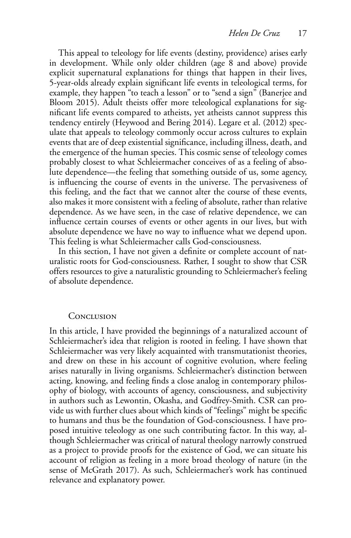This appeal to teleology for life events (destiny, providence) arises early in development. While only older children (age 8 and above) provide explicit supernatural explanations for things that happen in their lives, 5-year-olds already explain significant life events in teleological terms, for example, they happen "to teach a lesson" or to "send a sign" (Banerjee and Bloom 2015). Adult theists offer more teleological explanations for significant life events compared to atheists, yet atheists cannot suppress this tendency entirely (Heywood and Bering 2014). Legare et al. (2012) speculate that appeals to teleology commonly occur across cultures to explain events that are of deep existential significance, including illness, death, and the emergence of the human species. This cosmic sense of teleology comes probably closest to what Schleiermacher conceives of as a feeling of absolute dependence—the feeling that something outside of us, some agency, is influencing the course of events in the universe. The pervasiveness of this feeling, and the fact that we cannot alter the course of these events, also makes it more consistent with a feeling of absolute, rather than relative dependence. As we have seen, in the case of relative dependence, we can influence certain courses of events or other agents in our lives, but with absolute dependence we have no way to influence what we depend upon. This feeling is what Schleiermacher calls God-consciousness.

In this section, I have not given a definite or complete account of naturalistic roots for God-consciousness. Rather, I sought to show that CSR offers resources to give a naturalistic grounding to Schleiermacher's feeling of absolute dependence.

### **CONCLUSION**

In this article, I have provided the beginnings of a naturalized account of Schleiermacher's idea that religion is rooted in feeling. I have shown that Schleiermacher was very likely acquainted with transmutationist theories, and drew on these in his account of cognitive evolution, where feeling arises naturally in living organisms. Schleiermacher's distinction between acting, knowing, and feeling finds a close analog in contemporary philosophy of biology, with accounts of agency, consciousness, and subjectivity in authors such as Lewontin, Okasha, and Godfrey-Smith. CSR can provide us with further clues about which kinds of "feelings" might be specific to humans and thus be the foundation of God-consciousness. I have proposed intuitive teleology as one such contributing factor. In this way, although Schleiermacher was critical of natural theology narrowly construed as a project to provide proofs for the existence of God, we can situate his account of religion as feeling in a more broad theology of nature (in the sense of McGrath 2017). As such, Schleiermacher's work has continued relevance and explanatory power.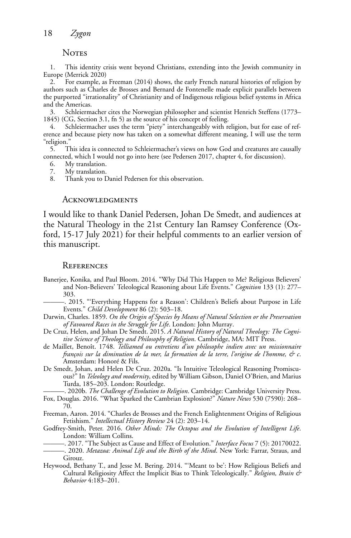#### **NOTES**

1. This identity crisis went beyond Christians, extending into the Jewish community in Europe (Merrick 2020)

2. For example, as Freeman (2014) shows, the early French natural histories of religion by authors such as Charles de Brosses and Bernard de Fontenelle made explicit parallels between the purported "irrationality" of Christianity and of Indigenous religious belief systems in Africa and the Americas.

3. Schleiermacher cites the Norwegian philosopher and scientist Henrich Steffens (1773– 1845) (CG, Section 3.1, fn 5) as the source of his concept of feeling.

4. Schleiermacher uses the term "piety" interchangeably with religion, but for ease of reference and because piety now has taken on a somewhat different meaning, I will use the term religion."<br>5. T

This idea is connected to Schleiermacher's views on how God and creatures are causally connected, which I would not go into here (see Pedersen 2017, chapter 4, for discussion).

- 6. My translation.
- 7. My translation.
- 8. Thank you to Daniel Pedersen for this observation.

#### **ACKNOWLEDGMENTS**

I would like to thank Daniel Pedersen, Johan De Smedt, and audiences at the Natural Theology in the 21st Century Ian Ramsey Conference (Oxford, 15-17 July 2021) for their helpful comments to an earlier version of this manuscript.

#### **REFERENCES**

Banerjee, Konika, and Paul Bloom. 2014. "Why Did This Happen to Me? Religious Believers' and Non-Believers' Teleological Reasoning about Life Events." *Cognition* 133 (1): 277– 303.

-. 2015. "Everything Happens for a Reason': Children's Beliefs about Purpose in Life Events." *Child Development* 86 (2): 503–18.

- Darwin, Charles. 1859. *On the Origin of Species by Means of Natural Selection or the Preservation of Favoured Races in the Struggle for Life*. London: John Murray.
- De Cruz, Helen, and Johan De Smedt. 2015. *A Natural History of Natural Theology: The Cognitive Science of Theology and Philosophy of Religion*. Cambridge, MA: MIT Press.
- de Maillet, Benoît. 1748. *Telliamed ou entretiens d'un philosophe indien avec un missionnaire françois sur la diminution de la mer, la formation de la terre, l'origine de l'homme, & c*. Amsterdam: Honoré & Fils.
- De Smedt, Johan, and Helen De Cruz. 2020a. "Is Intuitive Teleological Reasoning Promiscuous?" In *Teleology and modernity*, edited by William Gibson, Daniel O'Brien, and Marius Turda, 185–203. London: Routledge.

———. 2020b. *The Challenge of Evolution to Religion*. Cambridge: Cambridge University Press. Fox, Douglas. 2016. "What Sparked the Cambrian Explosion?" *Nature News* 530 (7590): 268–

70.

Freeman, Aaron. 2014. "Charles de Brosses and the French Enlightenment Origins of Religious Fetishism." *Intellectual History Review* 24 (2): 203–14.

- Godfrey-Smith, Peter. 2016. *Other Minds: The Octopus and the Evolution of Intelligent Life*. London: William Collins.
- ———. 2017. "The Subject as Cause and Effect of Evolution." *Interface Focus* 7 (5): 20170022. ———. 2020. *Metazoa: Animal Life and the Birth of the Mind*. New York: Farrar, Straus, and Girouz.
- Heywood, Bethany T., and Jesse M. Bering. 2014. "'Meant to be': How Religious Beliefs and Cultural Religiosity Affect the Implicit Bias to Think Teleologically." *Religion, Brain & Behavior* 4:183–201.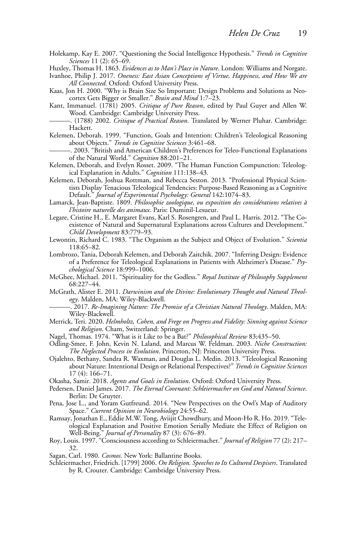Holekamp, Kay E. 2007. "Questioning the Social Intelligence Hypothesis." *Trends in Cognitive Sciences* 11 (2): 65–69.

Huxley, Thomas H. 1863. *Evidences as to Man's Place in Nature*. London: Williams and Norgate.

- Ivanhoe, Philip J. 2017. *Oneness: East Asian Conceptions of Virtue, Happiness, and How We are All Connected*. Oxford: Oxford University Press.
- Kaas, Jon H. 2000. "Why is Brain Size So Important: Design Problems and Solutions as Neocortex Gets Bigger or Smaller." *Brain and Mind* 1:7–23.
- Kant, Immanuel. (1781) 2005. *Critique of Pure Reason*, edited by Paul Guyer and Allen W. Wood. Cambridge: Cambridge University Press.
	- ———. (1788) 2002. *Critique of Practical Reason*. Translated by Werner Pluhar. Cambridge: Hackett.
- Kelemen, Deborah. 1999. "Function, Goals and Intention: Children's Teleological Reasoning about Objects." *Trends in Cognitive Sciences* 3:461–68.

———. 2003. "British and American Children's Preferences for Teleo-Functional Explanations of the Natural World." *Cognition* 88:201–21.

- Kelemen, Deborah, and Evelyn Rosset. 2009. "The Human Function Compunction: Teleological Explanation in Adults." *Cognition* 111:138–43.
- Kelemen, Deborah, Joshua Rottman, and Rebecca Seston. 2013. "Professional Physical Scientists Display Tenacious Teleological Tendencies: Purpose-Based Reasoning as a Cognitive Default." *Journal of Experimental Psychology: General* 142:1074–83.
- Lamarck, Jean-Baptiste. 1809. *Philosophie zoologique, ou exposition des considérations relatives à l'histoire naturelle des animaux*. Paris: Duminil-Lesueur.
- Legare, Cristine H., E. Margaret Evans, Karl S. Rosengren, and Paul L. Harris. 2012. "The Coexistence of Natural and Supernatural Explanations across Cultures and Development." *Child Development* 83:779–93.
- Lewontin, Richard C. 1983. "The Organism as the Subject and Object of Evolution." *Scientia* 118:65–82.
- Lombrozo, Tania, Deborah Kelemen, and Deborah Zaitchik. 2007. "Inferring Design: Evidence of a Preference for Teleological Explanations in Patients with Alzheimer's Disease." *Psychological Science* 18:999–1006.
- McGhee, Michael. 2011. "Spirituality for the Godless." *Royal Institute of Philosophy Supplement* 68:227–44.
- McGrath, Alister E. 2011. *Darwinism and the Divine: Evolutionary Thought and Natural Theology*. Malden, MA: Wiley-Blackwell.

———. 2017. *Re-Imagining Nature: The Promise of a Christian Natural Theology*. Malden, MA: Wiley-Blackwell.

- Merrick, Teri. 2020. *Helmholtz, Cohen, and Frege on Progress and Fidelity: Sinning against Science and Religion*. Cham, Switzerland: Springer.
- Nagel, Thomas. 1974. "What is it Like to be a Bat?" *Philosophical Review* 83;435–50.
- Odling-Smee, F. John, Kevin N. Laland, and Marcus W. Feldman. 2003. *Niche Construction: The Neglected Process in Evolution*. Princeton, NJ: Princeton University Press.
- Ojalehto, Bethany, Sandra R. Waxman, and Douglas L. Medin. 2013. "Teleological Reasoning about Nature: Intentional Design or Relational Perspectives?" *Trends in Cognitive Sciences* 17 (4): 166–71.
- Okasha, Samir. 2018. *Agents and Goals in Evolution*. Oxford: Oxford University Press.
- Pedersen, Daniel James. 2017. *The Eternal Covenant: Schleiermacher on God and Natural Science*. Berlin: De Gruyter.
- Pena, Jose L., and Yoram Gutfreund. 2014. "New Perspectives on the Owl's Map of Auditory Space." *Current Opinion in Neurobiology* 24:55–62.
- Ramsay, Jonathan E., Eddie M.W. Tong, Aviijit Chowdhury, and Moon-Ho R. Ho. 2019. "Teleological Explanation and Positive Emotion Serially Mediate the Effect of Religion on Well-Being." *Journal of Personality* 87 (3): 676–89.
- Roy, Louis. 1997. "Consciousness according to Schleiermacher." *Journal of Religion* 77 (2): 217– 32.
- Sagan, Carl. 1980. *Cosmos*. New York: Ballantine Books.
- Schleiermacher, Friedrich. [1799] 2006. *On Religion. Speeches to Its Cultured Despisers*. Translated by R. Crouter. Cambridge: Cambridge University Press.